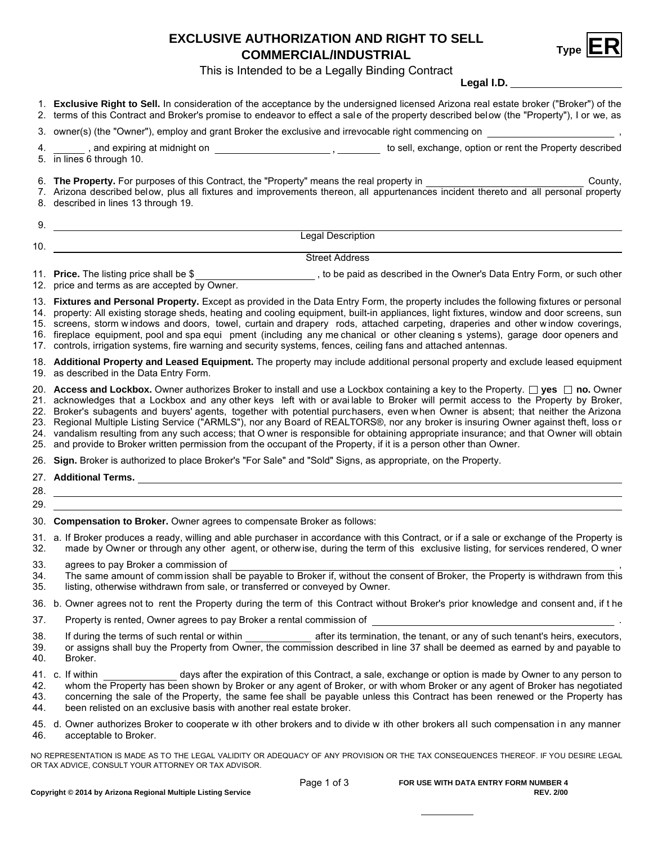## **EXCLUSIVE AUTHORIZATION AND RIGHT TO SELL COMMERCIAL/INDUSTRIAL ER**



This is Intended to be a Legally Binding Contract

**Legal I.D.**

|                          | Leydi i.D. _________________                                                                                                                                                                                                                                                                                                                                                                                                                                                                                                                                                                                                                                                                                                                                                                                                     |  |  |  |  |  |
|--------------------------|----------------------------------------------------------------------------------------------------------------------------------------------------------------------------------------------------------------------------------------------------------------------------------------------------------------------------------------------------------------------------------------------------------------------------------------------------------------------------------------------------------------------------------------------------------------------------------------------------------------------------------------------------------------------------------------------------------------------------------------------------------------------------------------------------------------------------------|--|--|--|--|--|
|                          | 1. Exclusive Right to Sell. In consideration of the acceptance by the undersigned licensed Arizona real estate broker ("Broker") of the<br>2. terms of this Contract and Broker's promise to endeavor to effect a sale of the property described below (the "Property"), I or we, as                                                                                                                                                                                                                                                                                                                                                                                                                                                                                                                                             |  |  |  |  |  |
|                          |                                                                                                                                                                                                                                                                                                                                                                                                                                                                                                                                                                                                                                                                                                                                                                                                                                  |  |  |  |  |  |
| 4.                       | and expiring at midnight on <b>contained a matter of the control of the control of the Property described</b> and expiring at midnight on <b>control of the control of the control of the control</b> , $\frac{1}{2}$ to sell, exchange, opti<br>5. in lines 6 through 10.                                                                                                                                                                                                                                                                                                                                                                                                                                                                                                                                                       |  |  |  |  |  |
|                          | 6. The Property. For purposes of this Contract, the "Property" means the real property in<br>County,<br>7. Arizona described below, plus all fixtures and improvements thereon, all appurtenances incident thereto and all personal property<br>8. described in lines 13 through 19.                                                                                                                                                                                                                                                                                                                                                                                                                                                                                                                                             |  |  |  |  |  |
| 9.                       |                                                                                                                                                                                                                                                                                                                                                                                                                                                                                                                                                                                                                                                                                                                                                                                                                                  |  |  |  |  |  |
| 10.                      | <b>Legal Description</b><br><u> 1980 - Johann Barbara, martin amerikan basar da</u>                                                                                                                                                                                                                                                                                                                                                                                                                                                                                                                                                                                                                                                                                                                                              |  |  |  |  |  |
|                          | <b>Street Address</b>                                                                                                                                                                                                                                                                                                                                                                                                                                                                                                                                                                                                                                                                                                                                                                                                            |  |  |  |  |  |
|                          | 11. <b>Price.</b> The listing price shall be \$<br>12. price and terms as are accepted by Owner.<br>12. price and terms as are accepted by Owner.                                                                                                                                                                                                                                                                                                                                                                                                                                                                                                                                                                                                                                                                                |  |  |  |  |  |
|                          | 13. Fixtures and Personal Property. Except as provided in the Data Entry Form, the property includes the following fixtures or personal<br>14. property: All existing storage sheds, heating and cooling equipment, built-in appliances, light fixtures, window and door screens, sun<br>15. screens, storm windows and doors, towel, curtain and drapery rods, attached carpeting, draperies and other window coverings,<br>16. fireplace equipment, pool and spa equi pment (including any me chanical or other cleaning s ystems), garage door openers and<br>17. controls, irrigation systems, fire warning and security systems, fences, ceiling fans and attached antennas.                                                                                                                                                |  |  |  |  |  |
|                          | 18. Additional Property and Leased Equipment. The property may include additional personal property and exclude leased equipment<br>19. as described in the Data Entry Form.                                                                                                                                                                                                                                                                                                                                                                                                                                                                                                                                                                                                                                                     |  |  |  |  |  |
|                          | 20. Access and Lockbox. Owner authorizes Broker to install and use a Lockbox containing a key to the Property. $\Box$ yes $\Box$ no. Owner<br>21. acknowledges that a Lockbox and any other keys left with or available to Broker will permit access to the Property by Broker,<br>22. Broker's subagents and buyers' agents, together with potential purchasers, even when Owner is absent; that neither the Arizona<br>23. Regional Multiple Listing Service ("ARMLS"), nor any Board of REALTORS®, nor any broker is insuring Owner against theft, loss or<br>24. vandalism resulting from any such access; that O wner is responsible for obtaining appropriate insurance; and that Owner will obtain<br>25. and provide to Broker written permission from the occupant of the Property, if it is a person other than Owner. |  |  |  |  |  |
|                          | 26. Sign. Broker is authorized to place Broker's "For Sale" and "Sold" Signs, as appropriate, on the Property.                                                                                                                                                                                                                                                                                                                                                                                                                                                                                                                                                                                                                                                                                                                   |  |  |  |  |  |
| 29.                      |                                                                                                                                                                                                                                                                                                                                                                                                                                                                                                                                                                                                                                                                                                                                                                                                                                  |  |  |  |  |  |
|                          | 30. <b>Compensation to Broker.</b> Owner agrees to compensate Broker as follows:                                                                                                                                                                                                                                                                                                                                                                                                                                                                                                                                                                                                                                                                                                                                                 |  |  |  |  |  |
| 32.                      | 31. a. If Broker produces a ready, willing and able purchaser in accordance with this Contract, or if a sale or exchange of the Property is<br>made by Owner or through any other agent, or otherwise, during the term of this exclusive listing, for services rendered, O wner                                                                                                                                                                                                                                                                                                                                                                                                                                                                                                                                                  |  |  |  |  |  |
| 33.<br>34.<br>35.        | agrees to pay Broker a commission of<br>The same amount of commission shall be payable to Broker if, without the consent of Broker, the Property is withdrawn from this<br>listing, otherwise withdrawn from sale, or transferred or conveyed by Owner.                                                                                                                                                                                                                                                                                                                                                                                                                                                                                                                                                                          |  |  |  |  |  |
|                          | 36. b. Owner agrees not to rent the Property during the term of this Contract without Broker's prior knowledge and consent and, if the                                                                                                                                                                                                                                                                                                                                                                                                                                                                                                                                                                                                                                                                                           |  |  |  |  |  |
| 37.                      | Property is rented, Owner agrees to pay Broker a rental commission of                                                                                                                                                                                                                                                                                                                                                                                                                                                                                                                                                                                                                                                                                                                                                            |  |  |  |  |  |
| 38.<br>39.<br>40.        | If during the terms of such rental or within <b>the act and the set of the set of set of set of set of set of such tenant's heirs</b> , executors,<br>or assigns shall buy the Property from Owner, the commission described in line 37 shall be deemed as earned by and payable to<br>Broker.                                                                                                                                                                                                                                                                                                                                                                                                                                                                                                                                   |  |  |  |  |  |
| 41.<br>42.<br>43.<br>44. | c. If within<br>days after the expiration of this Contract, a sale, exchange or option is made by Owner to any person to<br>whom the Property has been shown by Broker or any agent of Broker, or with whom Broker or any agent of Broker has negotiated<br>concerning the sale of the Property, the same fee shall be payable unless this Contract has been renewed or the Property has<br>been relisted on an exclusive basis with another real estate broker.                                                                                                                                                                                                                                                                                                                                                                 |  |  |  |  |  |
| 46.                      | 45. d. Owner authorizes Broker to cooperate w ith other brokers and to divide w ith other brokers all such compensation in any manner<br>acceptable to Broker.                                                                                                                                                                                                                                                                                                                                                                                                                                                                                                                                                                                                                                                                   |  |  |  |  |  |
|                          | NO REPRESENTATION IS MADE AS TO THE LEGAL VALIDITY OR ADEQUACY OF ANY PROVISION OR THE TAX CONSEQUENCES THEREOF. IF YOU DESIRE LEGAL<br>OR TAX ADVICE, CONSULT YOUR ATTORNEY OR TAX ADVISOR.                                                                                                                                                                                                                                                                                                                                                                                                                                                                                                                                                                                                                                     |  |  |  |  |  |

Produced with zipForm® by zipLogix 18070 Fifteen Mile Road, Fraser, Michigan 48026 www.zipLogix.com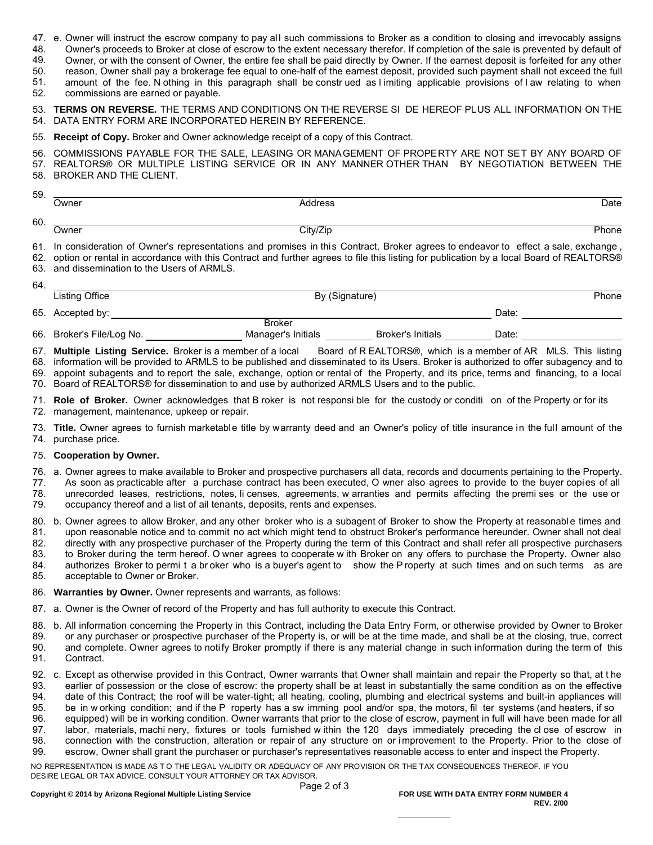- 47. e. Owner will instruct the escrow company to pay all such commissions to Broker as a condition to closing and irrevocably assigns
- 48. Owner's proceeds to Broker at close of escrow to the extent necessary therefor. If completion of the sale is prevented by default of
- 49. Owner, or with the consent of Owner, the entire fee shall be paid directly by Owner. If the earnest deposit is forfeited for any other
- 50. reason, Owner shall pay a brokerage fee equal to one-half of the earnest deposit, provided such payment shall not exceed the full
- 51. amount of the fee. N othing in this paragraph shall be constr ued as l imiting applicable provisions of l aw relating to when
- 52. commissions are earned or payable.

**TERMS ON REVERSE.** THE TERMS AND CONDITIONS ON THE REVERSE SI DE HEREOF PLUS ALL INFORMATION ON THE 53. DATA ENTRY FORM ARE INCORPORATED HEREIN BY REFERENCE. 54.

55. **Receipt of Copy.** Broker and Owner acknowledge receipt of a copy of this Contract.

56. COMMISSIONS PAYABLE FOR THE SALE, LEASING OR MANAGEMENT OF PROPERTY ARE NOT SET BY ANY BOARD OF 57. REALTORS® OR MULTIPLE LISTING SERVICE OR IN ANY MANNER OTHER THAN BY NEGOTIATION BETWEEN THE 58. BROKER AND THE CLIENT.

| 59. |              |          |       |
|-----|--------------|----------|-------|
|     | Owner        | Address  | Date  |
| 60. |              |          |       |
|     | <b>Jwner</b> | City/Zip | Phone |

61. In consideration of Owner's representations and promises in this Contract, Broker agrees to endeavor to effect a sale, exchange ,

62. option or rental in accordance with this Contract and further agrees to file this listing for publication by a local Board of REALTORS® 63. and dissemination to the Users of ARMLS.

| 64. |                           |                    |                          |       |  |
|-----|---------------------------|--------------------|--------------------------|-------|--|
|     | Listing Office            | By (Signature)     |                          | Phone |  |
|     | 65. Accepted by:          |                    |                          | Date: |  |
|     |                           | Broker             |                          |       |  |
|     | 66. Broker's File/Log No. | Manager's Initials | <b>Broker's Initials</b> | Date: |  |

Board of R EALTORS®, which is a member of AR MLS. This listing 68. information will be provided to ARMLS to be published and disseminated to its Users. Broker is authorized to offer subagency and to 67. Multiple Listing Service. Broker is a member of a local

69. appoint subagents and to report the sale, exchange, option or rental of the Property, and its price, terms and financing, to a local 70.  $\,$  Board of REALTORS® for dissemination to and use by authorized ARMLS Users and to the public.

71. **Role of Broker.** Owner acknowledges that B roker is not responsi ble for the custody or conditi on of the Property or for its 72. management, maintenance, upkeep or repair.

73. **Title.** Owner agrees to furnish marketable title by warranty deed and an Owner's policy of title insurance in the full amount of the 74. purchase price.

## 75. **Cooperation by Owner.**

- 76. a. Owner agrees to make available to Broker and prospective purchasers all data, records and documents pertaining to the Property. 77. As soon as practicable after a purchase contract has been executed, O wner also agrees to provide to the buyer copies of all
- 78. 79. unrecorded leases, restrictions, notes, li censes, agreements, w arranties and permits affecting the premi ses or the use or occupancy thereof and a list of ail tenants, deposits, rents and expenses.
- 

80. b. Owner agrees to allow Broker, and any other broker who is a subagent of Broker to show the Property at reasonable times and 81. upon reasonable notice and to commit no act which might tend to obstruct Broker's performance hereunder. Owner shall not deal

82. directly with any prospective purchaser of the Property during the term of this Contract and shall refer all prospective purchasers

83. to Broker during the term hereof. O wner agrees to cooperate w ith Broker on any offers to purchase the Property. Owner also

- 84. 85. authorizes Broker to permi t a br oker who is a buyer's agent to show the P roperty at such times and on such terms as are acceptable to Owner or Broker.
- 86. **Warranties by Owner.** Owner represents and warrants, as follows:
- 87. a. Owner is the Owner of record of the Property and has full authority to execute this Contract.
- 88. b. All information concerning the Property in this Contract, including the Data Entry Form, or otherwise provided by Owner to Broker
- 89. or any purchaser or prospective purchaser of the Property is, or will be at the time made, and shall be at the closing, true, correct
- and complete. Owner agrees to noti fy Broker promptly if there is any material change in such information during the term of this 90.
- Contract. 91.
- 92.  $\,$  c. Except as otherwise provided in this Contract, Owner warrants that Owner shall maintain and repair the Property so that, at t he
- earlier of possession or the close of escrow: the property shall be at least in substantially the same condition as on the effective 93.
- date of this Contract; the roof will be water-tight; all heating, cooling, plumbing and electrical systems and built-in appliances will 94.
- be in w orking condition; and if the P roperty has a sw imming pool and/or spa, the motors, fil ter systems (and heaters, if so equipped) will be in working condition. Owner warrants that prior to the close of escrow, payment in full will have been made for all 95. 96.
- labor, materials, machi nery, fixtures or tools furnished w ithin the 120 days immediately preceding the cl ose of escrow in 97.
- connection with the construction, alteration or repair of any structure on or i mprovement to the Property. Prior to the close of 98.
- escrow, Owner shall grant the purchaser or purchaser's representatives reasonable access to enter and inspect the Property. 99.

NO REPRESENTATlON IS MADE AS T O THE LEGAL VALIDITY OR ADEQUACY OF ANY PROVISION OR THE TAX CONSEQUENCES THEREOF. IF YOU DESIRE LEGAL OR TAX ADVICE, CONSULT YOUR ATTORNEY OR TAX ADVISOR.

Produced with zipForm® by zipLogix 18070 Fifteen Mile Road, Fraser, Michigan 48026 www.zipLogix.com